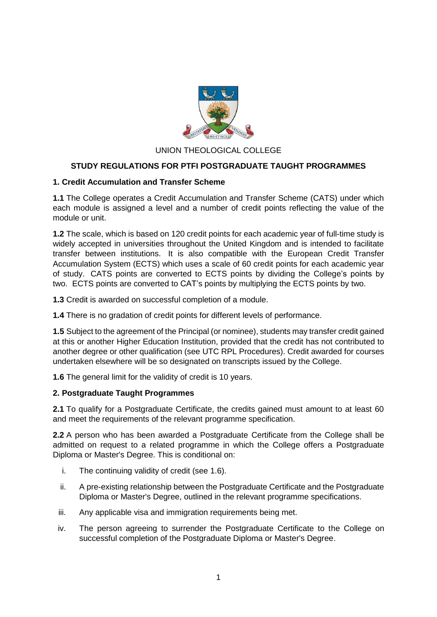

## UNION THEOLOGICAL COLLEGE

## **STUDY REGULATIONS FOR PTFI POSTGRADUATE TAUGHT PROGRAMMES**

#### **1. Credit Accumulation and Transfer Scheme**

**1.1** The College operates a Credit Accumulation and Transfer Scheme (CATS) under which each module is assigned a level and a number of credit points reflecting the value of the module or unit.

**1.2** The scale, which is based on 120 credit points for each academic year of full-time study is widely accepted in universities throughout the United Kingdom and is intended to facilitate transfer between institutions. It is also compatible with the European Credit Transfer Accumulation System (ECTS) which uses a scale of 60 credit points for each academic year of study. CATS points are converted to ECTS points by dividing the College's points by two. ECTS points are converted to CAT's points by multiplying the ECTS points by two.

**1.3** Credit is awarded on successful completion of a module.

**1.4** There is no gradation of credit points for different levels of performance.

**1.5** Subject to the agreement of the Principal (or nominee), students may transfer credit gained at this or another Higher Education Institution, provided that the credit has not contributed to another degree or other qualification (see UTC RPL Procedures). Credit awarded for courses undertaken elsewhere will be so designated on transcripts issued by the College.

**1.6** The general limit for the validity of credit is 10 years.

#### **2. Postgraduate Taught Programmes**

**2.1** To qualify for a Postgraduate Certificate, the credits gained must amount to at least 60 and meet the requirements of the relevant programme specification.

**2.2** A person who has been awarded a Postgraduate Certificate from the College shall be admitted on request to a related programme in which the College offers a Postgraduate Diploma or Master's Degree. This is conditional on:

- i. The continuing validity of credit (see 1.6).
- ii. A pre-existing relationship between the Postgraduate Certificate and the Postgraduate Diploma or Master's Degree, outlined in the relevant programme specifications.
- iii. Any applicable visa and immigration requirements being met.
- iv. The person agreeing to surrender the Postgraduate Certificate to the College on successful completion of the Postgraduate Diploma or Master's Degree.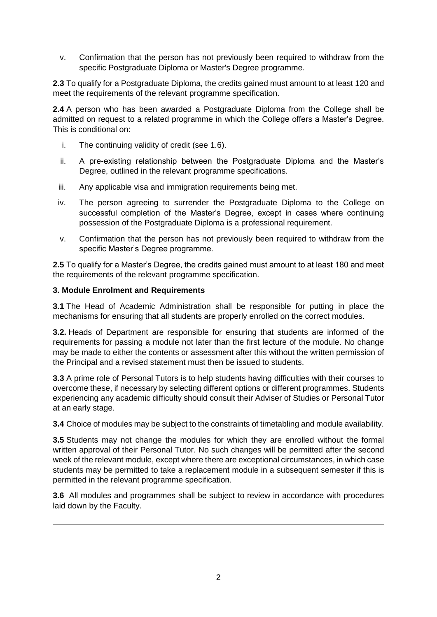v. Confirmation that the person has not previously been required to withdraw from the specific Postgraduate Diploma or Master's Degree programme.

**2.3** To qualify for a Postgraduate Diploma, the credits gained must amount to at least 120 and meet the requirements of the relevant programme specification.

**2.4** A person who has been awarded a Postgraduate Diploma from the College shall be admitted on request to a related programme in which the College offers a Master's Degree. This is conditional on:

- i. The continuing validity of credit (see 1.6).
- ii. A pre-existing relationship between the Postgraduate Diploma and the Master's Degree, outlined in the relevant programme specifications.
- iii. Any applicable visa and immigration requirements being met.
- iv. The person agreeing to surrender the Postgraduate Diploma to the College on successful completion of the Master's Degree, except in cases where continuing possession of the Postgraduate Diploma is a professional requirement.
- v. Confirmation that the person has not previously been required to withdraw from the specific Master's Degree programme.

**2.5** To qualify for a Master's Degree, the credits gained must amount to at least 180 and meet the requirements of the relevant programme specification.

### **3. Module Enrolment and Requirements**

**3.1** The Head of Academic Administration shall be responsible for putting in place the mechanisms for ensuring that all students are properly enrolled on the correct modules.

**3.2.** Heads of Department are responsible for ensuring that students are informed of the requirements for passing a module not later than the first lecture of the module. No change may be made to either the contents or assessment after this without the written permission of the Principal and a revised statement must then be issued to students.

**3.3** A prime role of Personal Tutors is to help students having difficulties with their courses to overcome these, if necessary by selecting different options or different programmes. Students experiencing any academic difficulty should consult their Adviser of Studies or Personal Tutor at an early stage.

**3.4** Choice of modules may be subject to the constraints of timetabling and module availability.

**3.5** Students may not change the modules for which they are enrolled without the formal written approval of their Personal Tutor. No such changes will be permitted after the second week of the relevant module, except where there are exceptional circumstances, in which case students may be permitted to take a replacement module in a subsequent semester if this is permitted in the relevant programme specification.

**3.6** All modules and programmes shall be subject to review in accordance with procedures laid down by the Faculty.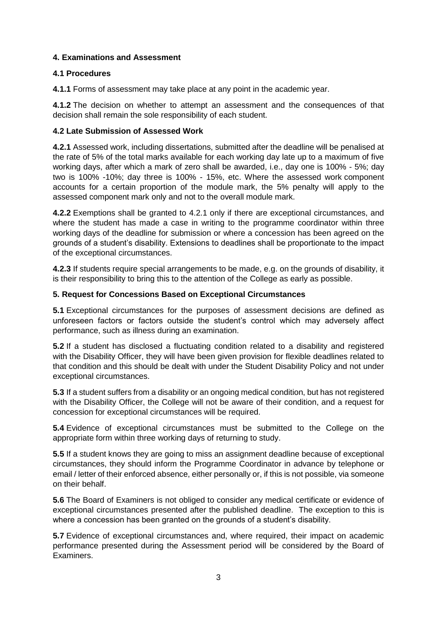## **4. Examinations and Assessment**

## **4.1 Procedures**

**4.1.1** Forms of assessment may take place at any point in the academic year.

**4.1.2** The decision on whether to attempt an assessment and the consequences of that decision shall remain the sole responsibility of each student.

## **4.2 Late Submission of Assessed Work**

**4.2.1** Assessed work, including dissertations, submitted after the deadline will be penalised at the rate of 5% of the total marks available for each working day late up to a maximum of five working days, after which a mark of zero shall be awarded, i.e., day one is 100% - 5%; day two is 100% -10%; day three is 100% - 15%, etc. Where the assessed work component accounts for a certain proportion of the module mark, the 5% penalty will apply to the assessed component mark only and not to the overall module mark.

**4.2.2** Exemptions shall be granted to 4.2.1 only if there are exceptional circumstances, and where the student has made a case in writing to the programme coordinator within three working days of the deadline for submission or where a concession has been agreed on the grounds of a student's disability. Extensions to deadlines shall be proportionate to the impact of the exceptional circumstances.

**4.2.3** If students require special arrangements to be made, e.g. on the grounds of disability, it is their responsibility to bring this to the attention of the College as early as possible.

## **5. Request for Concessions Based on Exceptional Circumstances**

**5.1** Exceptional circumstances for the purposes of assessment decisions are defined as unforeseen factors or factors outside the student's control which may adversely affect performance, such as illness during an examination.

**5.2** If a student has disclosed a fluctuating condition related to a disability and registered with the Disability Officer, they will have been given provision for flexible deadlines related to that condition and this should be dealt with under the Student Disability Policy and not under exceptional circumstances.

**5.3** If a student suffers from a disability or an ongoing medical condition, but has not registered with the Disability Officer, the College will not be aware of their condition, and a request for concession for exceptional circumstances will be required.

**5.4** Evidence of exceptional circumstances must be submitted to the College on the appropriate form within three working days of returning to study.

**5.5** If a student knows they are going to miss an assignment deadline because of exceptional circumstances, they should inform the Programme Coordinator in advance by telephone or email / letter of their enforced absence, either personally or, if this is not possible, via someone on their behalf.

**5.6** The Board of Examiners is not obliged to consider any medical certificate or evidence of exceptional circumstances presented after the published deadline. The exception to this is where a concession has been granted on the grounds of a student's disability.

**5.7** Evidence of exceptional circumstances and, where required, their impact on academic performance presented during the Assessment period will be considered by the Board of Examiners.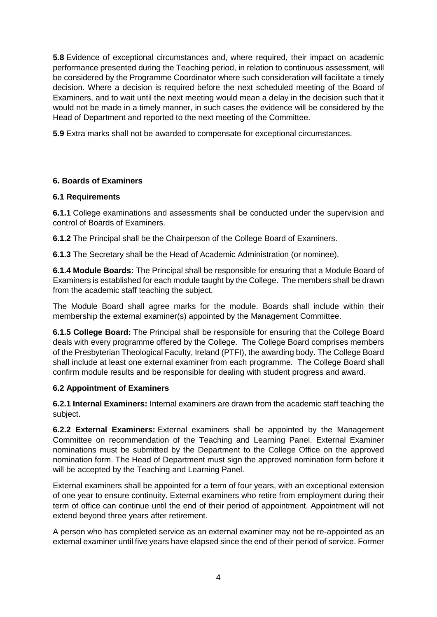**5.8** Evidence of exceptional circumstances and, where required, their impact on academic performance presented during the Teaching period, in relation to continuous assessment, will be considered by the Programme Coordinator where such consideration will facilitate a timely decision. Where a decision is required before the next scheduled meeting of the Board of Examiners, and to wait until the next meeting would mean a delay in the decision such that it would not be made in a timely manner, in such cases the evidence will be considered by the Head of Department and reported to the next meeting of the Committee.

**5.9** Extra marks shall not be awarded to compensate for exceptional circumstances.

## **6. Boards of Examiners**

## **6.1 Requirements**

**6.1.1** College examinations and assessments shall be conducted under the supervision and control of Boards of Examiners.

**6.1.2** The Principal shall be the Chairperson of the College Board of Examiners.

**6.1.3** The Secretary shall be the Head of Academic Administration (or nominee).

**6.1.4 Module Boards:** The Principal shall be responsible for ensuring that a Module Board of Examiners is established for each module taught by the College. The members shall be drawn from the academic staff teaching the subject.

The Module Board shall agree marks for the module. Boards shall include within their membership the external examiner(s) appointed by the Management Committee.

**6.1.5 College Board:** The Principal shall be responsible for ensuring that the College Board deals with every programme offered by the College. The College Board comprises members of the Presbyterian Theological Faculty, Ireland (PTFI), the awarding body. The College Board shall include at least one external examiner from each programme. The College Board shall confirm module results and be responsible for dealing with student progress and award.

## **6.2 Appointment of Examiners**

**6.2.1 Internal Examiners:** Internal examiners are drawn from the academic staff teaching the subject.

**6.2.2 External Examiners:** External examiners shall be appointed by the Management Committee on recommendation of the Teaching and Learning Panel. External Examiner nominations must be submitted by the Department to the College Office on the approved nomination form. The Head of Department must sign the approved nomination form before it will be accepted by the Teaching and Learning Panel.

External examiners shall be appointed for a term of four years, with an exceptional extension of one year to ensure continuity. External examiners who retire from employment during their term of office can continue until the end of their period of appointment. Appointment will not extend beyond three years after retirement.

A person who has completed service as an external examiner may not be re-appointed as an external examiner until five years have elapsed since the end of their period of service. Former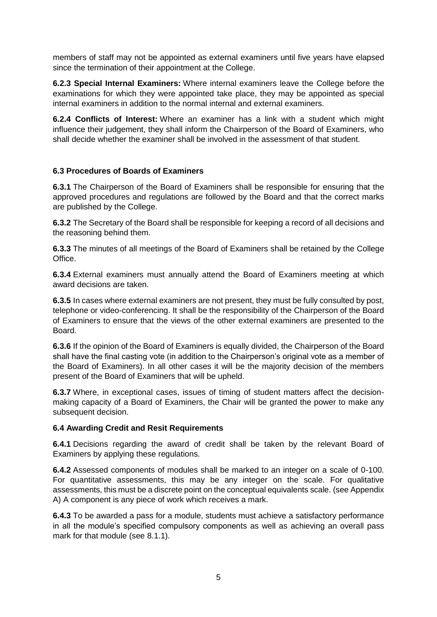members of staff may not be appointed as external examiners until five years have elapsed since the termination of their appointment at the College.

**6.2.3 Special Internal Examiners:** Where internal examiners leave the College before the examinations for which they were appointed take place, they may be appointed as special internal examiners in addition to the normal internal and external examiners.

**6.2.4 Conflicts of Interest:** Where an examiner has a link with a student which might influence their judgement, they shall inform the Chairperson of the Board of Examiners, who shall decide whether the examiner shall be involved in the assessment of that student.

## **6.3 Procedures of Boards of Examiners**

**6.3.1** The Chairperson of the Board of Examiners shall be responsible for ensuring that the approved procedures and regulations are followed by the Board and that the correct marks are published by the College.

**6.3.2** The Secretary of the Board shall be responsible for keeping a record of all decisions and the reasoning behind them.

**6.3.3** The minutes of all meetings of the Board of Examiners shall be retained by the College Office.

**6.3.4** External examiners must annually attend the Board of Examiners meeting at which award decisions are taken.

**6.3.5** In cases where external examiners are not present, they must be fully consulted by post, telephone or video-conferencing. It shall be the responsibility of the Chairperson of the Board of Examiners to ensure that the views of the other external examiners are presented to the Board.

**6.3.6** If the opinion of the Board of Examiners is equally divided, the Chairperson of the Board shall have the final casting vote (in addition to the Chairperson's original vote as a member of the Board of Examiners). In all other cases it will be the majority decision of the members present of the Board of Examiners that will be upheld.

**6.3.7** Where, in exceptional cases, issues of timing of student matters affect the decisionmaking capacity of a Board of Examiners, the Chair will be granted the power to make any subsequent decision.

### **6.4 Awarding Credit and Resit Requirements**

**6.4.1** Decisions regarding the award of credit shall be taken by the relevant Board of Examiners by applying these regulations.

**6.4.2** Assessed components of modules shall be marked to an integer on a scale of 0-100. For quantitative assessments, this may be any integer on the scale. For qualitative assessments, this must be a discrete point on the conceptual equivalents scale. (see Appendix A) A component is any piece of work which receives a mark.

**6.4.3** To be awarded a pass for a module, students must achieve a satisfactory performance in all the module's specified compulsory components as well as achieving an overall pass mark for that module (see 8.1.1).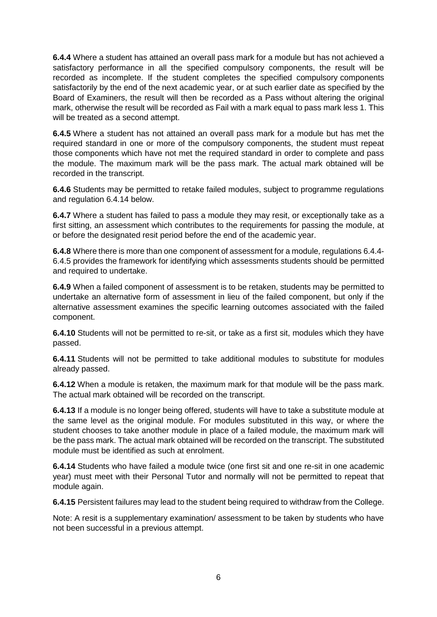**6.4.4** Where a student has attained an overall pass mark for a module but has not achieved a satisfactory performance in all the specified compulsory components, the result will be recorded as incomplete. If the student completes the specified compulsory components satisfactorily by the end of the next academic year, or at such earlier date as specified by the Board of Examiners, the result will then be recorded as a Pass without altering the original mark, otherwise the result will be recorded as Fail with a mark equal to pass mark less 1. This will be treated as a second attempt.

**6.4.5** Where a student has not attained an overall pass mark for a module but has met the required standard in one or more of the compulsory components, the student must repeat those components which have not met the required standard in order to complete and pass the module. The maximum mark will be the pass mark. The actual mark obtained will be recorded in the transcript.

**6.4.6** Students may be permitted to retake failed modules, subject to programme regulations and regulation 6.4.14 below.

**6.4.7** Where a student has failed to pass a module they may resit, or exceptionally take as a first sitting, an assessment which contributes to the requirements for passing the module, at or before the designated resit period before the end of the academic year.

**6.4.8** Where there is more than one component of assessment for a module, regulations 6.4.4- 6.4.5 provides the framework for identifying which assessments students should be permitted and required to undertake.

**6.4.9** When a failed component of assessment is to be retaken, students may be permitted to undertake an alternative form of assessment in lieu of the failed component, but only if the alternative assessment examines the specific learning outcomes associated with the failed component.

**6.4.10** Students will not be permitted to re-sit, or take as a first sit, modules which they have passed.

**6.4.11** Students will not be permitted to take additional modules to substitute for modules already passed.

**6.4.12** When a module is retaken, the maximum mark for that module will be the pass mark. The actual mark obtained will be recorded on the transcript.

**6.4.13** If a module is no longer being offered, students will have to take a substitute module at the same level as the original module. For modules substituted in this way, or where the student chooses to take another module in place of a failed module, the maximum mark will be the pass mark. The actual mark obtained will be recorded on the transcript. The substituted module must be identified as such at enrolment.

**6.4.14** Students who have failed a module twice (one first sit and one re-sit in one academic year) must meet with their Personal Tutor and normally will not be permitted to repeat that module again.

**6.4.15** Persistent failures may lead to the student being required to withdraw from the College.

Note: A resit is a supplementary examination/ assessment to be taken by students who have not been successful in a previous attempt.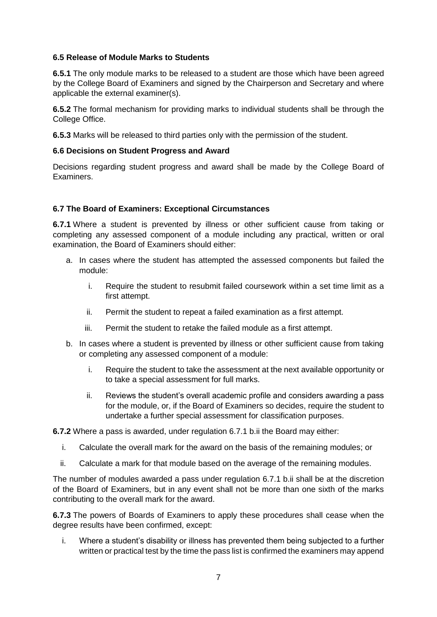### **6.5 Release of Module Marks to Students**

**6.5.1** The only module marks to be released to a student are those which have been agreed by the College Board of Examiners and signed by the Chairperson and Secretary and where applicable the external examiner(s).

**6.5.2** The formal mechanism for providing marks to individual students shall be through the College Office.

**6.5.3** Marks will be released to third parties only with the permission of the student.

#### **6.6 Decisions on Student Progress and Award**

Decisions regarding student progress and award shall be made by the College Board of Examiners.

#### **6.7 The Board of Examiners: Exceptional Circumstances**

**6.7.1** Where a student is prevented by illness or other sufficient cause from taking or completing any assessed component of a module including any practical, written or oral examination, the Board of Examiners should either:

- a. In cases where the student has attempted the assessed components but failed the module:
	- i. Require the student to resubmit failed coursework within a set time limit as a first attempt.
	- ii. Permit the student to repeat a failed examination as a first attempt.
	- iii. Permit the student to retake the failed module as a first attempt.
- b. In cases where a student is prevented by illness or other sufficient cause from taking or completing any assessed component of a module:
	- i. Require the student to take the assessment at the next available opportunity or to take a special assessment for full marks.
	- ii. Reviews the student's overall academic profile and considers awarding a pass for the module, or, if the Board of Examiners so decides, require the student to undertake a further special assessment for classification purposes.

**6.7.2** Where a pass is awarded, under regulation 6.7.1 b.ii the Board may either:

- i. Calculate the overall mark for the award on the basis of the remaining modules; or
- ii. Calculate a mark for that module based on the average of the remaining modules.

The number of modules awarded a pass under regulation 6.7.1 b.ii shall be at the discretion of the Board of Examiners, but in any event shall not be more than one sixth of the marks contributing to the overall mark for the award.

**6.7.3** The powers of Boards of Examiners to apply these procedures shall cease when the degree results have been confirmed, except:

i. Where a student's disability or illness has prevented them being subjected to a further written or practical test by the time the pass list is confirmed the examiners may append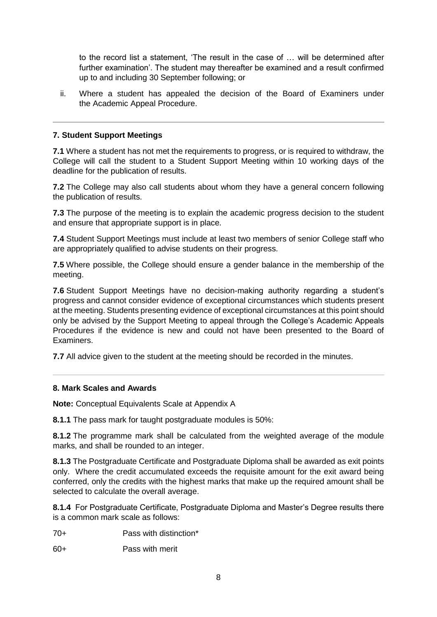to the record list a statement, 'The result in the case of … will be determined after further examination'. The student may thereafter be examined and a result confirmed up to and including 30 September following; or

ii. Where a student has appealed the decision of the Board of Examiners under the Academic Appeal Procedure.

## **7. Student Support Meetings**

**7.1** Where a student has not met the requirements to progress, or is required to withdraw, the College will call the student to a Student Support Meeting within 10 working days of the deadline for the publication of results.

**7.2** The College may also call students about whom they have a general concern following the publication of results.

**7.3** The purpose of the meeting is to explain the academic progress decision to the student and ensure that appropriate support is in place.

**7.4** Student Support Meetings must include at least two members of senior College staff who are appropriately qualified to advise students on their progress.

**7.5** Where possible, the College should ensure a gender balance in the membership of the meeting.

**7.6** Student Support Meetings have no decision-making authority regarding a student's progress and cannot consider evidence of exceptional circumstances which students present at the meeting. Students presenting evidence of exceptional circumstances at this point should only be advised by the Support Meeting to appeal through the College's Academic Appeals Procedures if the evidence is new and could not have been presented to the Board of Examiners.

**7.7** All advice given to the student at the meeting should be recorded in the minutes.

### **8. Mark Scales and Awards**

**Note:** Conceptual Equivalents Scale at Appendix A

**8.1.1** The pass mark for taught postgraduate modules is 50%:

**8.1.2** The programme mark shall be calculated from the weighted average of the module marks, and shall be rounded to an integer.

**8.1.3** The Postgraduate Certificate and Postgraduate Diploma shall be awarded as exit points only. Where the credit accumulated exceeds the requisite amount for the exit award being conferred, only the credits with the highest marks that make up the required amount shall be selected to calculate the overall average.

**8.1.4** For Postgraduate Certificate, Postgraduate Diploma and Master's Degree results there is a common mark scale as follows:

70+ Pass with distinction\*

60+ Pass with merit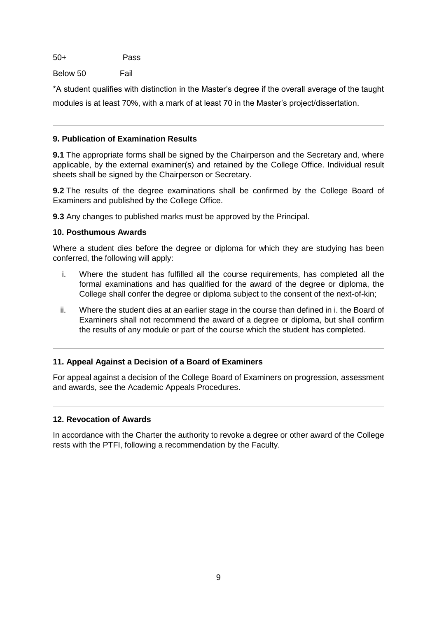50+ Pass

Below 50 Fail

\*A student qualifies with distinction in the Master's degree if the overall average of the taught modules is at least 70%, with a mark of at least 70 in the Master's project/dissertation.

## **9. Publication of Examination Results**

**9.1** The appropriate forms shall be signed by the Chairperson and the Secretary and, where applicable, by the external examiner(s) and retained by the College Office. Individual result sheets shall be signed by the Chairperson or Secretary.

**9.2** The results of the degree examinations shall be confirmed by the College Board of Examiners and published by the College Office.

**9.3** Any changes to published marks must be approved by the Principal.

## **10. Posthumous Awards**

Where a student dies before the degree or diploma for which they are studying has been conferred, the following will apply:

- i. Where the student has fulfilled all the course requirements, has completed all the formal examinations and has qualified for the award of the degree or diploma, the College shall confer the degree or diploma subject to the consent of the next-of-kin;
- ii. Where the student dies at an earlier stage in the course than defined in i. the Board of Examiners shall not recommend the award of a degree or diploma, but shall confirm the results of any module or part of the course which the student has completed.

## **11. Appeal Against a Decision of a Board of Examiners**

For appeal against a decision of the College Board of Examiners on progression, assessment and awards, see the Academic Appeals Procedures.

### **12. Revocation of Awards**

In accordance with the Charter the authority to revoke a degree or other award of the College rests with the PTFI, following a recommendation by the Faculty.